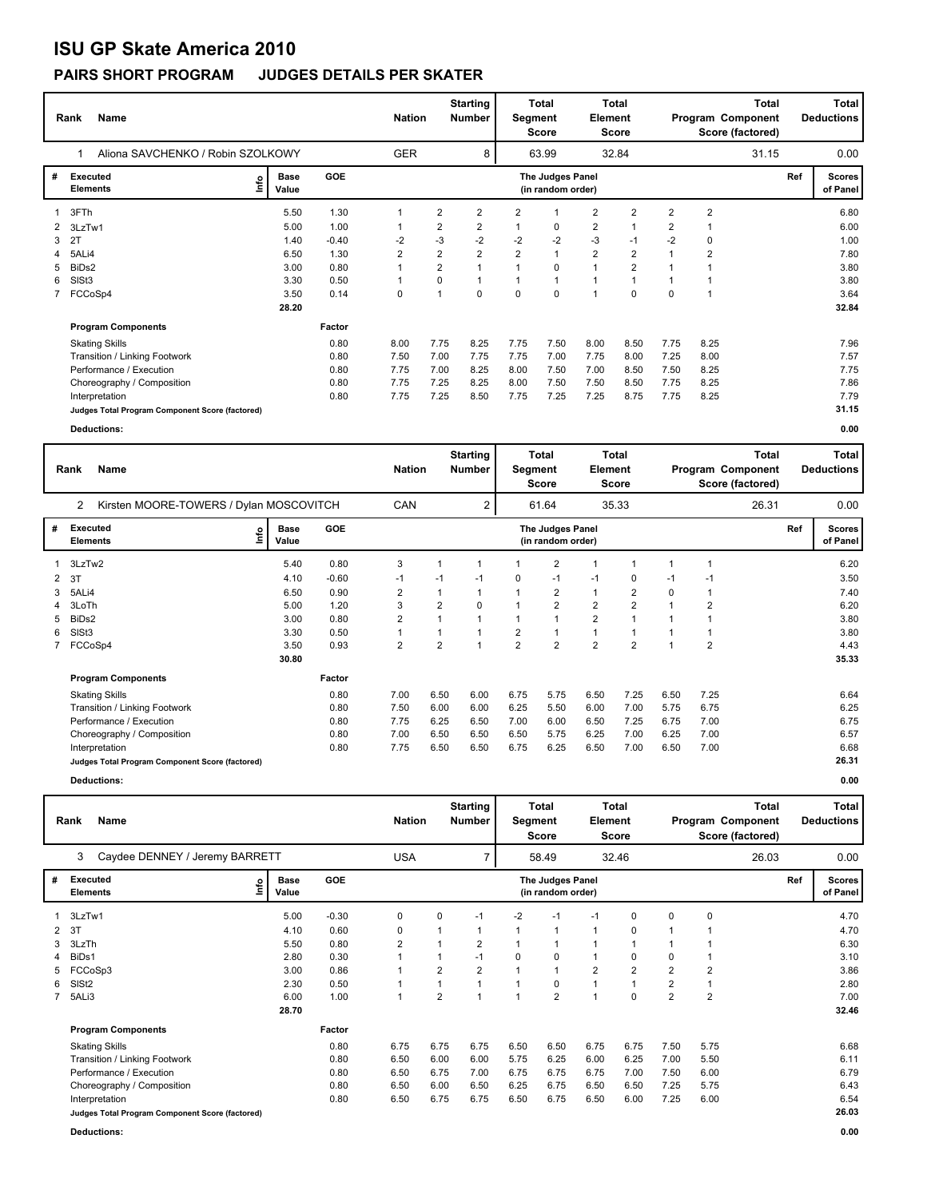# **ISU GP Skate America 2010**

### **PAIRS SHORT PROGRAM JUDGES DETAILS PER SKATER**

|   | Name<br>Rank                                    | <b>Nation</b>        |         | <b>Starting</b><br><b>Number</b> | Segment        | <b>Total</b><br><b>Score</b> | <b>Element</b> | Total<br>Score                        |                |                | <b>Total</b><br>Program Component<br>Score (factored) |                | <b>Total</b><br><b>Deductions</b> |     |                           |
|---|-------------------------------------------------|----------------------|---------|----------------------------------|----------------|------------------------------|----------------|---------------------------------------|----------------|----------------|-------------------------------------------------------|----------------|-----------------------------------|-----|---------------------------|
|   | Aliona SAVCHENKO / Robin SZOLKOWY               |                      |         | <b>GER</b>                       |                | 8                            |                | 63.99                                 |                | 32.84          |                                                       |                | 31.15                             |     | 0.00                      |
| # | <b>Executed</b><br>١mfo<br><b>Elements</b>      | <b>Base</b><br>Value | GOE     |                                  |                |                              |                | The Judges Panel<br>(in random order) |                |                |                                                       |                |                                   | Ref | <b>Scores</b><br>of Panel |
|   | 3FTh                                            | 5.50                 | 1.30    |                                  | 2              | 2                            | 2              |                                       | 2              | $\overline{2}$ | 2                                                     | $\overline{2}$ |                                   |     | 6.80                      |
| 2 | 3LzTw1                                          | 5.00                 | 1.00    |                                  | 2              | 2                            | 1              | $\mathbf 0$                           | $\overline{2}$ |                | $\overline{2}$                                        |                |                                   |     | 6.00                      |
| 3 | 2T                                              | 1.40                 | $-0.40$ | $-2$                             | $-3$           | $-2$                         | $-2$           | $-2$                                  | $-3$           | $-1$           | $-2$                                                  | 0              |                                   |     | 1.00                      |
| 4 | 5ALi4                                           | 6.50                 | 1.30    | $\overline{2}$                   | $\overline{2}$ | $\overline{2}$               | $\overline{2}$ | $\overline{1}$                        | $\overline{2}$ | $\overline{2}$ |                                                       | $\overline{2}$ |                                   |     | 7.80                      |
| 5 | BiDs2                                           | 3.00                 | 0.80    |                                  | $\overline{2}$ |                              |                | $\mathbf 0$                           | $\mathbf{1}$   | $\overline{2}$ |                                                       |                |                                   |     | 3.80                      |
| 6 | SISt <sub>3</sub>                               | 3.30                 | 0.50    | 1                                | $\Omega$       | 1                            |                | $\overline{\mathbf{1}}$               | 1              | $\overline{ }$ | 1                                                     |                |                                   |     | 3.80                      |
|   | FCCoSp4                                         | 3.50                 | 0.14    | 0                                | 1              | 0                            | $\Omega$       | $\Omega$                              | $\overline{1}$ | $\Omega$       | $\Omega$                                              |                |                                   |     | 3.64                      |
|   |                                                 | 28.20                |         |                                  |                |                              |                |                                       |                |                |                                                       |                |                                   |     | 32.84                     |
|   | <b>Program Components</b>                       |                      | Factor  |                                  |                |                              |                |                                       |                |                |                                                       |                |                                   |     |                           |
|   | <b>Skating Skills</b>                           |                      | 0.80    | 8.00                             | 7.75           | 8.25                         | 7.75           | 7.50                                  | 8.00           | 8.50           | 7.75                                                  | 8.25           |                                   |     | 7.96                      |
|   | Transition / Linking Footwork                   |                      | 0.80    | 7.50                             | 7.00           | 7.75                         | 7.75           | 7.00                                  | 7.75           | 8.00           | 7.25                                                  | 8.00           |                                   |     | 7.57                      |
|   | Performance / Execution                         |                      | 0.80    | 7.75                             | 7.00           | 8.25                         | 8.00           | 7.50                                  | 7.00           | 8.50           | 7.50                                                  | 8.25           |                                   |     | 7.75                      |
|   | Choreography / Composition                      |                      | 0.80    | 7.75                             | 7.25           | 8.25                         | 8.00           | 7.50                                  | 7.50           | 8.50           | 7.75                                                  | 8.25           |                                   |     | 7.86                      |
|   | Interpretation                                  |                      | 0.80    | 7.75                             | 7.25           | 8.50                         | 7.75           | 7.25                                  | 7.25           | 8.75           | 7.75                                                  | 8.25           |                                   |     | 7.79                      |
|   | Judges Total Program Component Score (factored) |                      |         |                                  |                |                              |                |                                       |                |                |                                                       |                |                                   |     | 31.15                     |
|   | <b>Deductions:</b>                              |                      |         |                                  |                |                              |                |                                       |                |                |                                                       |                |                                   |     | 0.00                      |

|              | <b>Name</b><br>Rank                             | <b>Nation</b>        |         | <b>Starting</b><br><b>Number</b> | Segment        | Total<br>Score | Element        | Total<br><b>Score</b>                 |                |                | Total<br>Program Component<br>Score (factored) |                | Total<br><b>Deductions</b> |     |                           |
|--------------|-------------------------------------------------|----------------------|---------|----------------------------------|----------------|----------------|----------------|---------------------------------------|----------------|----------------|------------------------------------------------|----------------|----------------------------|-----|---------------------------|
|              | 2<br>Kirsten MOORE-TOWERS / Dylan MOSCOVITCH    |                      |         | CAN                              |                | 2              |                | 61.64                                 |                | 35.33          |                                                |                | 26.31                      |     | 0.00                      |
| #            | <b>Executed</b><br>lnfo<br><b>Elements</b>      | <b>Base</b><br>Value | GOE     |                                  |                |                |                | The Judges Panel<br>(in random order) |                |                |                                                |                |                            | Ref | <b>Scores</b><br>of Panel |
|              | 3LzTw2                                          | 5.40                 | 0.80    | 3                                | 1              | $\mathbf 1$    |                | $\overline{2}$                        | 1              |                | 1                                              |                |                            |     | 6.20                      |
| $\mathbf{2}$ | 3T                                              | 4.10                 | $-0.60$ | $-1$                             | $-1$           | $-1$           | 0              | $-1$                                  | $-1$           | 0              | $-1$                                           | $-1$           |                            |     | 3.50                      |
| 3            | 5ALi4                                           | 6.50                 | 0.90    | $\overline{2}$                   | $\mathbf{1}$   | $\mathbf{1}$   |                | $\overline{2}$                        | $\mathbf{1}$   | $\overline{2}$ | 0                                              |                |                            |     | 7.40                      |
|              | 3LoTh                                           | 5.00                 | 1.20    | 3                                | $\overline{2}$ | 0              |                | $\overline{2}$                        | $\overline{2}$ | $\overline{2}$ | $\mathbf 1$                                    | 2              |                            |     | 6.20                      |
| 5            | BiDs2                                           | 3.00                 | 0.80    | 2                                | 1              | $\overline{1}$ |                | 1                                     | $\overline{2}$ | 1              |                                                |                |                            |     | 3.80                      |
| 6            | SISt <sub>3</sub>                               | 3.30                 | 0.50    |                                  | 1              | $\overline{ }$ | $\overline{2}$ | 1                                     | $\mathbf{1}$   |                | 1                                              |                |                            |     | 3.80                      |
|              | 7 FCCoSp4                                       | 3.50                 | 0.93    | 2                                | $\overline{2}$ | $\overline{1}$ | $\overline{2}$ | $\overline{2}$                        | $\overline{2}$ | $\overline{2}$ | $\overline{ }$                                 | $\overline{2}$ |                            |     | 4.43                      |
|              |                                                 | 30.80                |         |                                  |                |                |                |                                       |                |                |                                                |                |                            |     | 35.33                     |
|              | <b>Program Components</b>                       |                      | Factor  |                                  |                |                |                |                                       |                |                |                                                |                |                            |     |                           |
|              | <b>Skating Skills</b>                           |                      | 0.80    | 7.00                             | 6.50           | 6.00           | 6.75           | 5.75                                  | 6.50           | 7.25           | 6.50                                           | 7.25           |                            |     | 6.64                      |
|              | Transition / Linking Footwork                   |                      | 0.80    | 7.50                             | 6.00           | 6.00           | 6.25           | 5.50                                  | 6.00           | 7.00           | 5.75                                           | 6.75           |                            |     | 6.25                      |
|              | Performance / Execution                         |                      | 0.80    | 7.75                             | 6.25           | 6.50           | 7.00           | 6.00                                  | 6.50           | 7.25           | 6.75                                           | 7.00           |                            |     | 6.75                      |
|              | Choreography / Composition                      |                      | 0.80    | 7.00                             | 6.50           | 6.50           | 6.50           | 5.75                                  | 6.25           | 7.00           | 6.25                                           | 7.00           |                            |     | 6.57                      |
|              | Interpretation                                  |                      | 0.80    | 7.75                             | 6.50           | 6.50           | 6.75           | 6.25                                  | 6.50           | 7.00           | 6.50                                           | 7.00           |                            |     | 6.68                      |
|              | Judges Total Program Component Score (factored) |                      |         |                                  |                |                |                |                                       |                |                |                                                |                |                            |     | 26.31                     |
|              | Deductions:                                     |                      |         |                                  |                |                |                |                                       |                |                |                                                |                |                            |     | 0.00                      |

| Rank | Name                           | <b>Nation</b> | <b>Starting</b><br><b>Number</b> | Total<br>Seament<br>Score | Total<br><b>Element</b><br><b>Score</b> | <b>Total</b><br>Program Component<br>Score (factored) | <b>Total</b><br><b>Deductions</b> |
|------|--------------------------------|---------------|----------------------------------|---------------------------|-----------------------------------------|-------------------------------------------------------|-----------------------------------|
|      | Caydee DENNEY / Jeremy BARRETT | USA           |                                  | 58.49                     | 32.46                                   | 26.03                                                 | 0.00                              |

|   |                                                 |                              |            |                                       |                | . .            |                |                |                |                |                |                |     |                           |
|---|-------------------------------------------------|------------------------------|------------|---------------------------------------|----------------|----------------|----------------|----------------|----------------|----------------|----------------|----------------|-----|---------------------------|
| # | <b>Executed</b><br><b>Elements</b>              | <b>Base</b><br>١nf٥<br>Value | <b>GOE</b> | The Judges Panel<br>(in random order) |                |                |                |                |                |                |                |                | Ref | <b>Scores</b><br>of Panel |
|   | 3LzTw1                                          | 5.00                         | $-0.30$    | 0                                     | 0              | $-1$           | $-2$           | $-1$           | -1             | 0              | $\Omega$       | 0              |     | 4.70                      |
|   | 2 3T                                            | 4.10                         | 0.60       | 0                                     |                | 1              | $\overline{A}$ |                | 1              | 0              | 1              |                |     | 4.70                      |
|   | 3 3LzTh                                         | 5.50                         | 0.80       | $\overline{2}$                        |                | $\overline{2}$ |                |                |                |                |                |                |     | 6.30                      |
|   | 4 BiDs1                                         | 2.80                         | 0.30       | 1                                     |                | $-1$           | 0              | 0              | 1              | 0              | $\Omega$       |                |     | 3.10                      |
|   | 5 FCCoSp3                                       | 3.00                         | 0.86       | 1                                     | $\overline{2}$ | $\overline{2}$ |                |                | $\overline{2}$ | $\overline{2}$ | $\overline{2}$ | $\overline{2}$ |     | 3.86                      |
|   | 6 SISt2                                         | 2.30                         | 0.50       |                                       |                |                |                | 0              |                |                | $\overline{2}$ |                |     | 2.80                      |
|   | 7 5ALi3                                         | 6.00                         | 1.00       | $\overline{\mathbf{A}}$               | $\overline{2}$ |                |                | $\overline{2}$ | $\overline{A}$ | 0              | $\overline{2}$ | $\overline{2}$ |     | 7.00                      |
|   |                                                 | 28.70                        |            |                                       |                |                |                |                |                |                |                |                |     | 32.46                     |
|   | <b>Program Components</b>                       |                              | Factor     |                                       |                |                |                |                |                |                |                |                |     |                           |
|   | <b>Skating Skills</b>                           |                              | 0.80       | 6.75                                  | 6.75           | 6.75           | 6.50           | 6.50           | 6.75           | 6.75           | 7.50           | 5.75           |     | 6.68                      |
|   | Transition / Linking Footwork                   |                              | 0.80       | 6.50                                  | 6.00           | 6.00           | 5.75           | 6.25           | 6.00           | 6.25           | 7.00           | 5.50           |     | 6.11                      |
|   | Performance / Execution                         |                              | 0.80       | 6.50                                  | 6.75           | 7.00           | 6.75           | 6.75           | 6.75           | 7.00           | 7.50           | 6.00           |     | 6.79                      |
|   | Choreography / Composition                      |                              | 0.80       | 6.50                                  | 6.00           | 6.50           | 6.25           | 6.75           | 6.50           | 6.50           | 7.25           | 5.75           |     | 6.43                      |
|   | Interpretation                                  |                              | 0.80       | 6.50                                  | 6.75           | 6.75           | 6.50           | 6.75           | 6.50           | 6.00           | 7.25           | 6.00           |     | 6.54                      |
|   | Judges Total Program Component Score (factored) |                              |            |                                       |                |                |                |                |                |                |                |                |     | 26.03                     |

**Deductions: 0.00**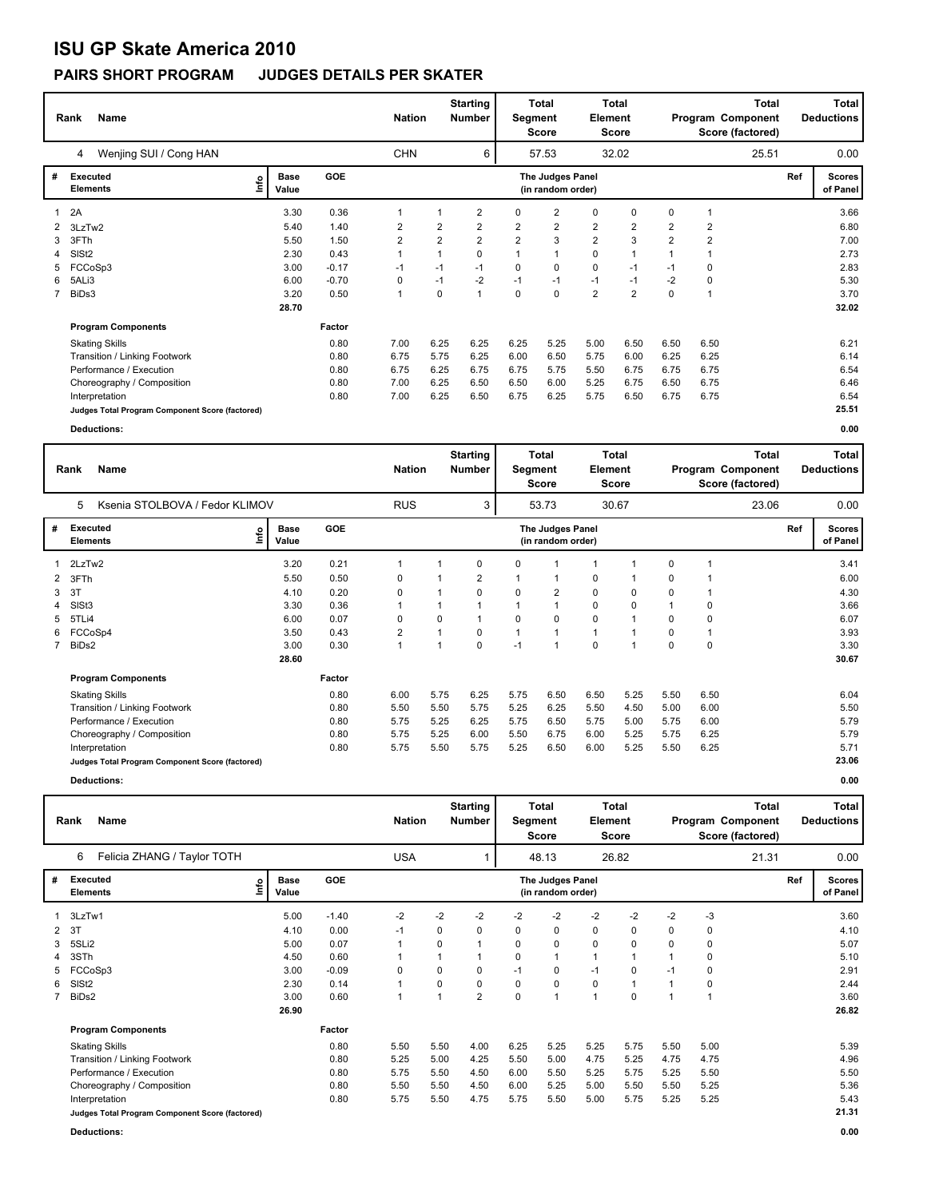# **ISU GP Skate America 2010**

### **PAIRS SHORT PROGRAM JUDGES DETAILS PER SKATER**

|                | Name<br>Rank                                    | <b>Nation</b>              |         | <b>Starting</b><br><b>Number</b> | Segment  | <b>Total</b><br><b>Score</b> | <b>Element</b> | Total<br>Score                        |                |                | <b>Total</b><br>Program Component<br>Score (factored) |                         | <b>Total</b><br><b>Deductions</b> |     |                           |
|----------------|-------------------------------------------------|----------------------------|---------|----------------------------------|----------|------------------------------|----------------|---------------------------------------|----------------|----------------|-------------------------------------------------------|-------------------------|-----------------------------------|-----|---------------------------|
|                | Wenjing SUI / Cong HAN<br>4                     |                            |         | <b>CHN</b>                       |          | 6                            |                | 57.53                                 |                | 32.02          |                                                       |                         | 25.51                             |     | 0.00                      |
| #              | <b>Executed</b><br><b>Elements</b>              | <b>Base</b><br>١m<br>Value | GOE     |                                  |          |                              |                | The Judges Panel<br>(in random order) |                |                |                                                       |                         |                                   | Ref | <b>Scores</b><br>of Panel |
|                | 2A                                              | 3.30                       | 0.36    | 1                                |          | 2                            | 0              | 2                                     | 0              | 0              | 0                                                     |                         |                                   |     | 3.66                      |
| 2              | 3LzTw2                                          | 5.40                       | 1.40    | 2                                | 2        | 2                            | 2              | $\overline{2}$                        | $\overline{2}$ | $\overline{2}$ | $\overline{2}$                                        | $\overline{\mathbf{c}}$ |                                   |     | 6.80                      |
| 3              | 3FTh                                            | 5.50                       | 1.50    | $\overline{2}$                   | 2        | $\overline{2}$               | $\overline{2}$ | 3                                     | $\overline{2}$ | 3              | $\overline{2}$                                        | $\overline{2}$          |                                   |     | 7.00                      |
| 4              | SISt <sub>2</sub>                               | 2.30                       | 0.43    |                                  |          | 0                            |                |                                       | $\mathbf 0$    |                |                                                       |                         |                                   |     | 2.73                      |
| 5              | FCCoSp3                                         | 3.00                       | $-0.17$ | $-1$                             | $-1$     | $-1$                         | 0              | 0                                     | 0              | $-1$           | -1                                                    | 0                       |                                   |     | 2.83                      |
| 6              | 5ALi3                                           | 6.00                       | $-0.70$ | 0                                | $-1$     | $-2$                         | $-1$           | $-1$                                  | $-1$           | $-1$           | $-2$                                                  | $\mathbf 0$             |                                   |     | 5.30                      |
| $\overline{7}$ | BiDs3                                           | 3.20                       | 0.50    | 1                                | $\Omega$ | 1                            | $\Omega$       | 0                                     | $\overline{2}$ | $\overline{2}$ | $\mathbf 0$                                           |                         |                                   |     | 3.70                      |
|                |                                                 | 28.70                      |         |                                  |          |                              |                |                                       |                |                |                                                       |                         |                                   |     | 32.02                     |
|                | <b>Program Components</b>                       |                            | Factor  |                                  |          |                              |                |                                       |                |                |                                                       |                         |                                   |     |                           |
|                | <b>Skating Skills</b>                           |                            | 0.80    | 7.00                             | 6.25     | 6.25                         | 6.25           | 5.25                                  | 5.00           | 6.50           | 6.50                                                  | 6.50                    |                                   |     | 6.21                      |
|                | Transition / Linking Footwork                   |                            | 0.80    | 6.75                             | 5.75     | 6.25                         | 6.00           | 6.50                                  | 5.75           | 6.00           | 6.25                                                  | 6.25                    |                                   |     | 6.14                      |
|                | Performance / Execution                         |                            | 0.80    | 6.75                             | 6.25     | 6.75                         | 6.75           | 5.75                                  | 5.50           | 6.75           | 6.75                                                  | 6.75                    |                                   |     | 6.54                      |
|                | Choreography / Composition                      |                            | 0.80    | 7.00                             | 6.25     | 6.50                         | 6.50           | 6.00                                  | 5.25           | 6.75           | 6.50                                                  | 6.75                    |                                   |     | 6.46                      |
|                | Interpretation                                  |                            | 0.80    | 7.00                             | 6.25     | 6.50                         | 6.75           | 6.25                                  | 5.75           | 6.50           | 6.75                                                  | 6.75                    |                                   |     | 6.54                      |
|                | Judges Total Program Component Score (factored) |                            |         |                                  |          |                              |                |                                       |                |                |                                                       |                         |                                   |     | 25.51                     |
|                | <b>Deductions:</b>                              |                            |         |                                  |          |                              |                |                                       |                |                |                                                       |                         |                                   |     | 0.00                      |

|                | <b>Name</b><br>Rank                             | <b>Nation</b>        |        | <b>Starting</b><br><b>Number</b> | Segment        | <b>Total</b><br>Score | Element  | <b>Total</b><br>Score                 |              |          | <b>Total</b><br>Program Component<br>Score (factored) |      | <b>Total</b><br><b>Deductions</b> |     |                           |
|----------------|-------------------------------------------------|----------------------|--------|----------------------------------|----------------|-----------------------|----------|---------------------------------------|--------------|----------|-------------------------------------------------------|------|-----------------------------------|-----|---------------------------|
|                | Ksenia STOLBOVA / Fedor KLIMOV<br>5             |                      |        | <b>RUS</b>                       |                | 3                     |          | 53.73                                 |              | 30.67    |                                                       |      | 23.06                             |     | 0.00                      |
| #              | Executed<br>lnfo<br><b>Elements</b>             | <b>Base</b><br>Value | GOE    |                                  |                |                       |          | The Judges Panel<br>(in random order) |              |          |                                                       |      |                                   | Ref | <b>Scores</b><br>of Panel |
| 1              | 2LzTw2                                          | 3.20                 | 0.21   |                                  | 1              | 0                     | 0        |                                       | 1            |          | 0                                                     |      |                                   |     | 3.41                      |
| $\mathbf{2}$   | 3FTh                                            | 5.50                 | 0.50   | $\mathbf 0$                      | 1              | $\overline{2}$        |          | 1                                     | 0            | 1        | 0                                                     |      |                                   |     | 6.00                      |
| 3              | 3T                                              | 4.10                 | 0.20   | 0                                | 1              | 0                     | $\Omega$ | $\overline{2}$                        | 0            | 0        | 0                                                     |      |                                   |     | 4.30                      |
|                | SISt <sub>3</sub>                               | 3.30                 | 0.36   |                                  | 1              | 1                     |          | 1                                     | 0            | $\Omega$ | $\mathbf 1$                                           | 0    |                                   |     | 3.66                      |
| 5.             | 5TLi4                                           | 6.00                 | 0.07   | 0                                | 0              | $\mathbf 1$           | $\Omega$ | $\Omega$                              | 0            | 1        | $\Omega$                                              | 0    |                                   |     | 6.07                      |
|                | FCCoSp4                                         | 3.50                 | 0.43   | 2                                | $\mathbf{1}$   | 0                     |          | 1                                     | $\mathbf{1}$ |          | $\Omega$                                              |      |                                   |     | 3.93                      |
| $\overline{7}$ | BiDs2                                           | 3.00                 | 0.30   | 1                                | $\overline{1}$ | $\mathbf 0$           | $-1$     | 1                                     | 0            | 1        | $\Omega$                                              | 0    |                                   |     | 3.30                      |
|                |                                                 | 28.60                |        |                                  |                |                       |          |                                       |              |          |                                                       |      |                                   |     | 30.67                     |
|                | <b>Program Components</b>                       |                      | Factor |                                  |                |                       |          |                                       |              |          |                                                       |      |                                   |     |                           |
|                | <b>Skating Skills</b>                           |                      | 0.80   | 6.00                             | 5.75           | 6.25                  | 5.75     | 6.50                                  | 6.50         | 5.25     | 5.50                                                  | 6.50 |                                   |     | 6.04                      |
|                | Transition / Linking Footwork                   |                      | 0.80   | 5.50                             | 5.50           | 5.75                  | 5.25     | 6.25                                  | 5.50         | 4.50     | 5.00                                                  | 6.00 |                                   |     | 5.50                      |
|                | Performance / Execution                         |                      | 0.80   | 5.75                             | 5.25           | 6.25                  | 5.75     | 6.50                                  | 5.75         | 5.00     | 5.75                                                  | 6.00 |                                   |     | 5.79                      |
|                | Choreography / Composition                      |                      | 0.80   | 5.75                             | 5.25           | 6.00                  | 5.50     | 6.75                                  | 6.00         | 5.25     | 5.75                                                  | 6.25 |                                   |     | 5.79                      |
|                | Interpretation                                  |                      | 0.80   | 5.75                             | 5.50           | 5.75                  | 5.25     | 6.50                                  | 6.00         | 5.25     | 5.50                                                  | 6.25 |                                   |     | 5.71                      |
|                | Judges Total Program Component Score (factored) |                      |        |                                  |                |                       |          |                                       |              |          |                                                       |      |                                   |     | 23.06                     |
|                | Deductions:                                     |                      |        |                                  |                |                       |          |                                       |              |          |                                                       |      |                                   |     | 0.00                      |

| Deductions |  |  |
|------------|--|--|
|            |  |  |

| Rank | Name                        | <b>Nation</b> | <b>Starting</b><br><b>Number</b> | Total<br>Seament<br><b>Score</b> | Total<br><b>Element</b><br>Score | <b>Total</b><br>Program Component<br>Score (factored) | Total<br><b>Deductions</b> |
|------|-----------------------------|---------------|----------------------------------|----------------------------------|----------------------------------|-------------------------------------------------------|----------------------------|
|      | Felicia ZHANG / Taylor TOTH | USA           |                                  | 48.13                            | 26.82                            | 21.31                                                 | 0.00                       |

| # | Executed                                        | <b>Base</b>   | <b>GOE</b> |      |      |                |             | The Judges Panel  |      |          |          |          | Ref | <b>Scores</b> |
|---|-------------------------------------------------|---------------|------------|------|------|----------------|-------------|-------------------|------|----------|----------|----------|-----|---------------|
|   | <b>Elements</b>                                 | lnfo<br>Value |            |      |      |                |             | (in random order) |      |          |          |          |     | of Panel      |
|   | 3LzTw1                                          | 5.00          | $-1.40$    | $-2$ | $-2$ | $-2$           | $-2$        | $-2$              | $-2$ | $-2$     | $-2$     | $-3$     |     | 3.60          |
|   | 2 3T                                            | 4.10          | 0.00       | $-1$ | 0    | $\Omega$       | 0           | 0                 | 0    | 0        | 0        | 0        |     | 4.10          |
|   | 3 5SLi2                                         | 5.00          | 0.07       | 1    | 0    |                | 0           | 0                 | 0    | 0        | $\Omega$ |          |     | 5.07          |
|   | 4 3STh                                          | 4.50          | 0.60       | 1    |      |                | 0           |                   |      |          |          |          |     | 5.10          |
|   | 5 FCCoSp3                                       | 3.00          | $-0.09$    | 0    | 0    | $\Omega$       | $-1$        | 0                 | $-1$ | $\Omega$ | $-1$     |          |     | 2.91          |
| 6 | SIS <sub>t2</sub>                               | 2.30          | 0.14       | 1    | 0    | 0              | 0           | 0                 | 0    |          |          | $\Omega$ |     | 2.44          |
|   | 7 BiDs2                                         | 3.00          | 0.60       | 1    |      | $\overline{2}$ | $\mathbf 0$ |                   | ٠    | $\Omega$ |          |          |     | 3.60          |
|   |                                                 | 26.90         |            |      |      |                |             |                   |      |          |          |          |     | 26.82         |
|   | <b>Program Components</b>                       |               | Factor     |      |      |                |             |                   |      |          |          |          |     |               |
|   | <b>Skating Skills</b>                           |               | 0.80       | 5.50 | 5.50 | 4.00           | 6.25        | 5.25              | 5.25 | 5.75     | 5.50     | 5.00     |     | 5.39          |
|   | Transition / Linking Footwork                   |               | 0.80       | 5.25 | 5.00 | 4.25           | 5.50        | 5.00              | 4.75 | 5.25     | 4.75     | 4.75     |     | 4.96          |
|   | Performance / Execution                         |               | 0.80       | 5.75 | 5.50 | 4.50           | 6.00        | 5.50              | 5.25 | 5.75     | 5.25     | 5.50     |     | 5.50          |
|   | Choreography / Composition                      |               | 0.80       | 5.50 | 5.50 | 4.50           | 6.00        | 5.25              | 5.00 | 5.50     | 5.50     | 5.25     |     | 5.36          |
|   | Interpretation                                  |               | 0.80       | 5.75 | 5.50 | 4.75           | 5.75        | 5.50              | 5.00 | 5.75     | 5.25     | 5.25     |     | 5.43          |
|   | Judges Total Program Component Score (factored) |               |            |      |      |                |             |                   |      |          |          |          |     | 21.31         |

**Deductions: 0.00**